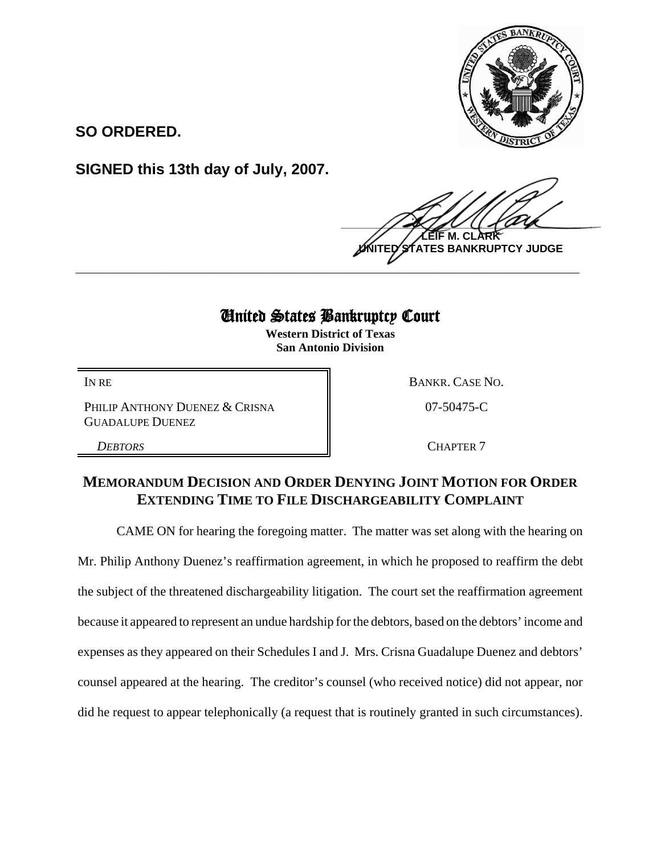

**SO ORDERED.**

**SIGNED this 13th day of July, 2007.**

 $\frac{1}{2}$ **LEIF M. CLARK TES BANKRUPTCY JUDGE** 

# United States Bankruptcy Court

**\_\_\_\_\_\_\_\_\_\_\_\_\_\_\_\_\_\_\_\_\_\_\_\_\_\_\_\_\_\_\_\_\_\_\_\_\_\_\_\_\_\_\_\_\_\_\_\_\_\_\_\_\_\_\_\_\_\_\_\_**

**Western District of Texas San Antonio Division**

PHILIP ANTHONY DUENEZ & CRISNA GUADALUPE DUENEZ

IN RE BANKR. CASE NO. 07-50475-C

**DEBTORS** CHAPTER 7

# **MEMORANDUM DECISION AND ORDER DENYING JOINT MOTION FOR ORDER EXTENDING TIME TO FILE DISCHARGEABILITY COMPLAINT**

CAME ON for hearing the foregoing matter. The matter was set along with the hearing on

Mr. Philip Anthony Duenez's reaffirmation agreement, in which he proposed to reaffirm the debt the subject of the threatened dischargeability litigation. The court set the reaffirmation agreement because it appeared to represent an undue hardship for the debtors, based on the debtors' income and expenses as they appeared on their Schedules I and J. Mrs. Crisna Guadalupe Duenez and debtors' counsel appeared at the hearing. The creditor's counsel (who received notice) did not appear, nor did he request to appear telephonically (a request that is routinely granted in such circumstances).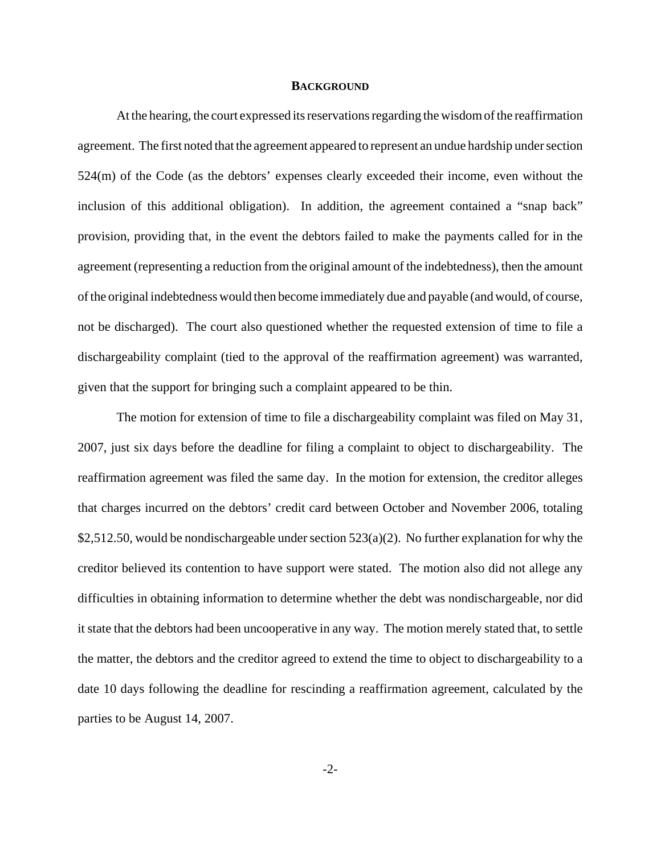#### **BACKGROUND**

At the hearing, the court expressed its reservations regarding the wisdom of the reaffirmation agreement. The first noted that the agreement appeared to represent an undue hardship under section 524(m) of the Code (as the debtors' expenses clearly exceeded their income, even without the inclusion of this additional obligation). In addition, the agreement contained a "snap back" provision, providing that, in the event the debtors failed to make the payments called for in the agreement (representing a reduction from the original amount of the indebtedness), then the amount of the original indebtedness would then become immediately due and payable (and would, of course, not be discharged). The court also questioned whether the requested extension of time to file a dischargeability complaint (tied to the approval of the reaffirmation agreement) was warranted, given that the support for bringing such a complaint appeared to be thin.

The motion for extension of time to file a dischargeability complaint was filed on May 31, 2007, just six days before the deadline for filing a complaint to object to dischargeability. The reaffirmation agreement was filed the same day. In the motion for extension, the creditor alleges that charges incurred on the debtors' credit card between October and November 2006, totaling \$2,512.50, would be nondischargeable under section  $523(a)(2)$ . No further explanation for why the creditor believed its contention to have support were stated. The motion also did not allege any difficulties in obtaining information to determine whether the debt was nondischargeable, nor did it state that the debtors had been uncooperative in any way. The motion merely stated that, to settle the matter, the debtors and the creditor agreed to extend the time to object to dischargeability to a date 10 days following the deadline for rescinding a reaffirmation agreement, calculated by the parties to be August 14, 2007.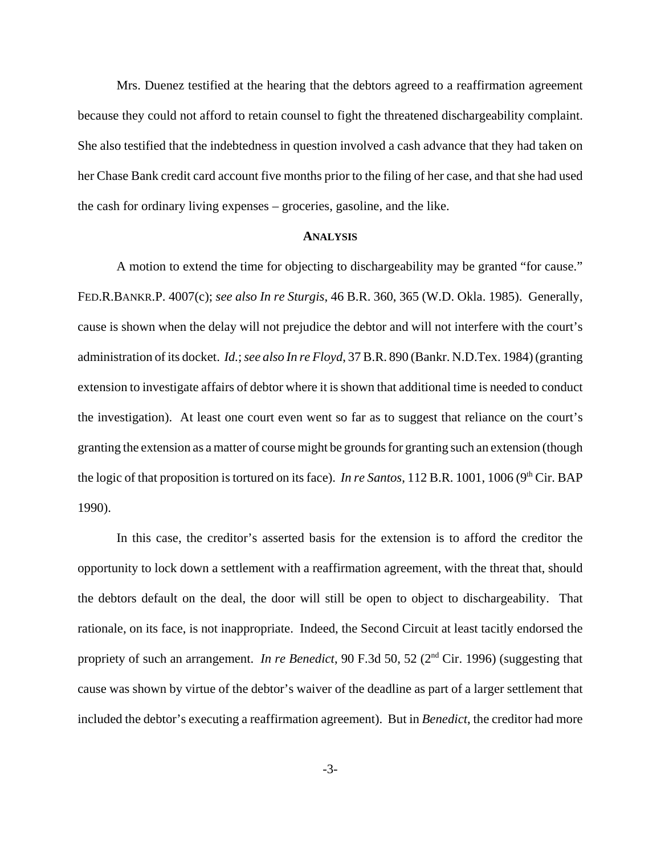Mrs. Duenez testified at the hearing that the debtors agreed to a reaffirmation agreement because they could not afford to retain counsel to fight the threatened dischargeability complaint. She also testified that the indebtedness in question involved a cash advance that they had taken on her Chase Bank credit card account five months prior to the filing of her case, and that she had used the cash for ordinary living expenses – groceries, gasoline, and the like.

## **ANALYSIS**

A motion to extend the time for objecting to dischargeability may be granted "for cause." FED.R.BANKR.P. 4007(c); *see also In re Sturgis*, 46 B.R. 360, 365 (W.D. Okla. 1985). Generally, cause is shown when the delay will not prejudice the debtor and will not interfere with the court's administration of its docket. *Id.*; *see also In re Floyd*, 37 B.R. 890 (Bankr. N.D.Tex. 1984) (granting extension to investigate affairs of debtor where it is shown that additional time is needed to conduct the investigation). At least one court even went so far as to suggest that reliance on the court's granting the extension as a matter of course might be grounds for granting such an extension (though the logic of that proposition is tortured on its face). *In re Santos*, 112 B.R. 1001, 1006 (9<sup>th</sup> Cir. BAP 1990).

In this case, the creditor's asserted basis for the extension is to afford the creditor the opportunity to lock down a settlement with a reaffirmation agreement, with the threat that, should the debtors default on the deal, the door will still be open to object to dischargeability. That rationale, on its face, is not inappropriate. Indeed, the Second Circuit at least tacitly endorsed the propriety of such an arrangement. *In re Benedict*, 90 F.3d 50, 52 (2<sup>nd</sup> Cir. 1996) (suggesting that cause was shown by virtue of the debtor's waiver of the deadline as part of a larger settlement that included the debtor's executing a reaffirmation agreement). But in *Benedict*, the creditor had more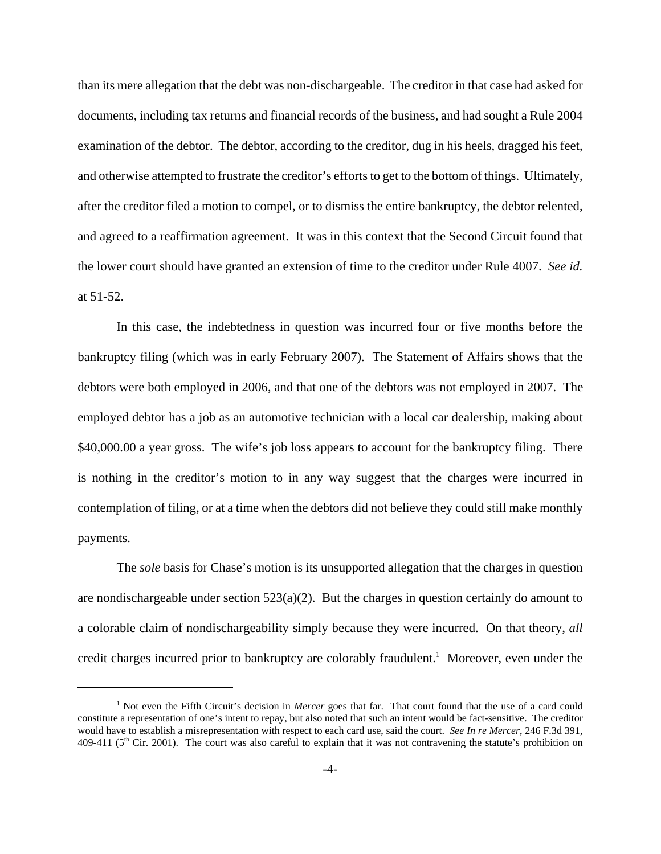than its mere allegation that the debt was non-dischargeable. The creditor in that case had asked for documents, including tax returns and financial records of the business, and had sought a Rule 2004 examination of the debtor. The debtor, according to the creditor, dug in his heels, dragged his feet, and otherwise attempted to frustrate the creditor's efforts to get to the bottom of things. Ultimately, after the creditor filed a motion to compel, or to dismiss the entire bankruptcy, the debtor relented, and agreed to a reaffirmation agreement. It was in this context that the Second Circuit found that the lower court should have granted an extension of time to the creditor under Rule 4007. *See id.* at 51-52.

In this case, the indebtedness in question was incurred four or five months before the bankruptcy filing (which was in early February 2007). The Statement of Affairs shows that the debtors were both employed in 2006, and that one of the debtors was not employed in 2007. The employed debtor has a job as an automotive technician with a local car dealership, making about \$40,000.00 a year gross. The wife's job loss appears to account for the bankruptcy filing. There is nothing in the creditor's motion to in any way suggest that the charges were incurred in contemplation of filing, or at a time when the debtors did not believe they could still make monthly payments.

The *sole* basis for Chase's motion is its unsupported allegation that the charges in question are nondischargeable under section 523(a)(2). But the charges in question certainly do amount to a colorable claim of nondischargeability simply because they were incurred. On that theory, *all* credit charges incurred prior to bankruptcy are colorably fraudulent.<sup>1</sup> Moreover, even under the

<sup>&</sup>lt;sup>1</sup> Not even the Fifth Circuit's decision in *Mercer* goes that far. That court found that the use of a card could constitute a representation of one's intent to repay, but also noted that such an intent would be fact-sensitive. The creditor would have to establish a misrepresentation with respect to each card use, said the court. *See In re Mercer*, 246 F.3d 391, 409-411 ( $5<sup>th</sup>$  Cir. 2001). The court was also careful to explain that it was not contravening the statute's prohibition on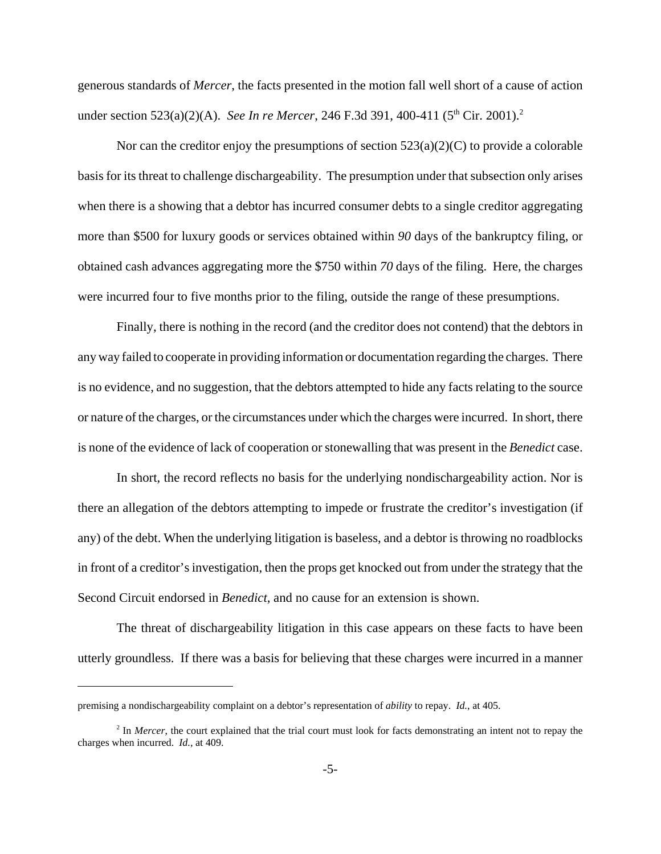generous standards of *Mercer*, the facts presented in the motion fall well short of a cause of action under section 523(a)(2)(A). *See In re Mercer*, 246 F.3d 391, 400-411 (5<sup>th</sup> Cir. 2001).<sup>2</sup>

Nor can the creditor enjoy the presumptions of section  $523(a)(2)(C)$  to provide a colorable basis for its threat to challenge dischargeability. The presumption under that subsection only arises when there is a showing that a debtor has incurred consumer debts to a single creditor aggregating more than \$500 for luxury goods or services obtained within *90* days of the bankruptcy filing, or obtained cash advances aggregating more the \$750 within *70* days of the filing. Here, the charges were incurred four to five months prior to the filing, outside the range of these presumptions.

Finally, there is nothing in the record (and the creditor does not contend) that the debtors in any way failed to cooperate in providing information or documentation regarding the charges. There is no evidence, and no suggestion, that the debtors attempted to hide any facts relating to the source or nature of the charges, or the circumstances under which the charges were incurred. In short, there is none of the evidence of lack of cooperation or stonewalling that was present in the *Benedict* case.

In short, the record reflects no basis for the underlying nondischargeability action. Nor is there an allegation of the debtors attempting to impede or frustrate the creditor's investigation (if any) of the debt. When the underlying litigation is baseless, and a debtor is throwing no roadblocks in front of a creditor's investigation, then the props get knocked out from under the strategy that the Second Circuit endorsed in *Benedict*, and no cause for an extension is shown.

The threat of dischargeability litigation in this case appears on these facts to have been utterly groundless. If there was a basis for believing that these charges were incurred in a manner

premising a nondischargeability complaint on a debtor's representation of *ability* to repay. *Id.*, at 405.

<sup>&</sup>lt;sup>2</sup> In *Mercer*, the court explained that the trial court must look for facts demonstrating an intent not to repay the charges when incurred. *Id.*, at 409.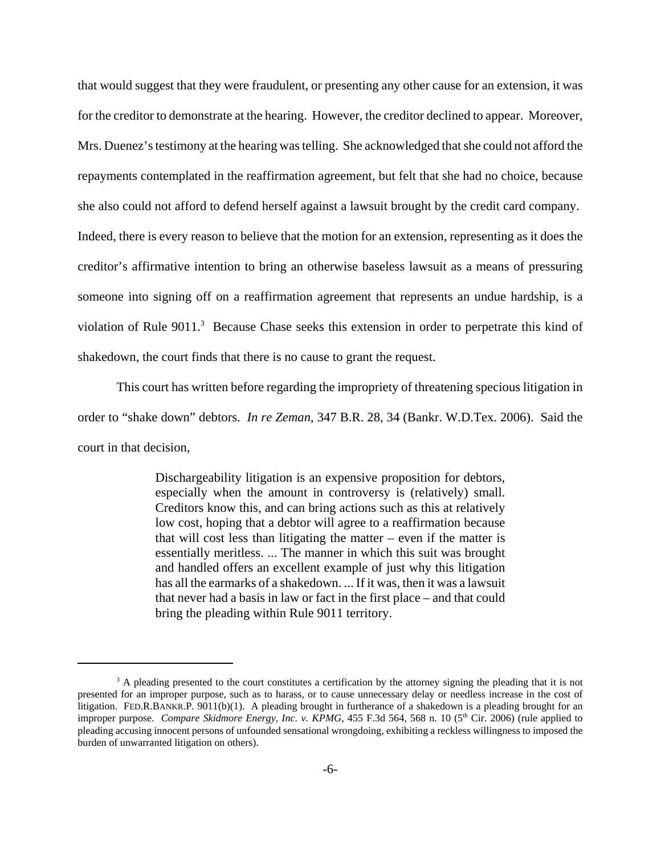that would suggest that they were fraudulent, or presenting any other cause for an extension, it was for the creditor to demonstrate at the hearing. However, the creditor declined to appear. Moreover, Mrs. Duenez's testimony at the hearing was telling. She acknowledged that she could not afford the repayments contemplated in the reaffirmation agreement, but felt that she had no choice, because she also could not afford to defend herself against a lawsuit brought by the credit card company. Indeed, there is every reason to believe that the motion for an extension, representing as it does the creditor's affirmative intention to bring an otherwise baseless lawsuit as a means of pressuring someone into signing off on a reaffirmation agreement that represents an undue hardship, is a violation of Rule  $9011$ <sup>3</sup> Because Chase seeks this extension in order to perpetrate this kind of shakedown, the court finds that there is no cause to grant the request.

This court has written before regarding the impropriety of threatening specious litigation in order to "shake down" debtors. *In re Zeman*, 347 B.R. 28, 34 (Bankr. W.D.Tex. 2006). Said the court in that decision,

> Dischargeability litigation is an expensive proposition for debtors, especially when the amount in controversy is (relatively) small. Creditors know this, and can bring actions such as this at relatively low cost, hoping that a debtor will agree to a reaffirmation because that will cost less than litigating the matter – even if the matter is essentially meritless. ... The manner in which this suit was brought and handled offers an excellent example of just why this litigation has all the earmarks of a shakedown. ... If it was, then it was a lawsuit that never had a basis in law or fact in the first place – and that could bring the pleading within Rule 9011 territory.

<sup>&</sup>lt;sup>3</sup> A pleading presented to the court constitutes a certification by the attorney signing the pleading that it is not presented for an improper purpose, such as to harass, or to cause unnecessary delay or needless increase in the cost of litigation. FED.R.BANKR.P. 9011(b)(1). A pleading brought in furtherance of a shakedown is a pleading brought for an improper purpose. *Compare Skidmore Energy, Inc. v. KPMG*, 455 F.3d 564, 568 n. 10 (5<sup>th</sup> Cir. 2006) (rule applied to pleading accusing innocent persons of unfounded sensational wrongdoing, exhibiting a reckless willingness to imposed the burden of unwarranted litigation on others).